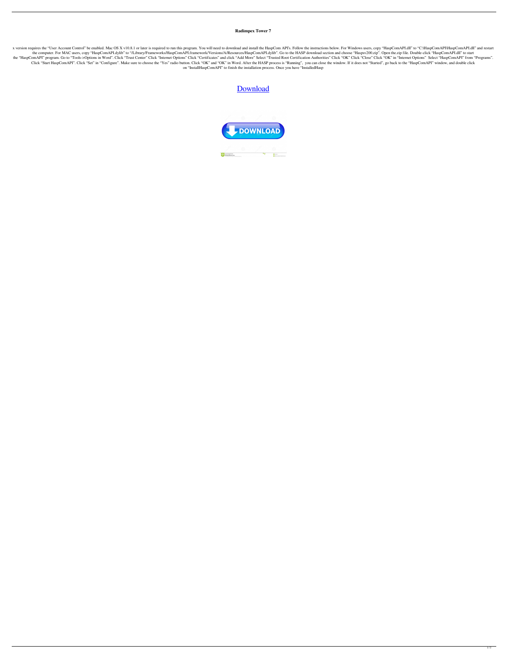**Radimpex Tower 7**

x version requires the "User Account Control" be enabled. Mac OS X v10.8.1 or later is required to run this program. You will need to download and install the HaspCom API's. Follow the instructions below. For Windows users the computer. For MAC users, copy "HaspComAPI.dylib" to "/Library/Frameworks/HaspComAPI.framework/Versions/A/Resources/HaspComAPI.dylib". Go to the HASP download section and choose "Haspsv200.zip". Open the.zip file. Doubl the "HaspComAPI" program. Go to "Tools->Options in Word". Click "Trust Center" Click "Internet Options" Click "Certificates" and click "Add More" Select "Trusted Root Certification Authorities" Click "OK" Click "OK" in "In Click "Start HaspComAPI". Click "Set" in "Configure". Make sure to choose the "Yes" radio button. Click "OK" and "OK" in Word. After the HASP process is "Running", you can close the window. If it does not "Started", go bac on "InstallHaspComAPI" to finish the installation process. Once you have "InstalledHasp

## **[Download](http://evacdir.com/altars.promissory?vasotec=vezertzis=cmFkaW1wZXggdG93ZXIgNwcmF=ZG93bmxvYWR8cmszTVhKbWIzeDhNVFkxTWpRMk16QTFNSHg4TWpVM05IeDhLRTBwSUhKbFlXUXRZbXh2WnlCYlJtRnpkQ0JIUlU1ZA)**